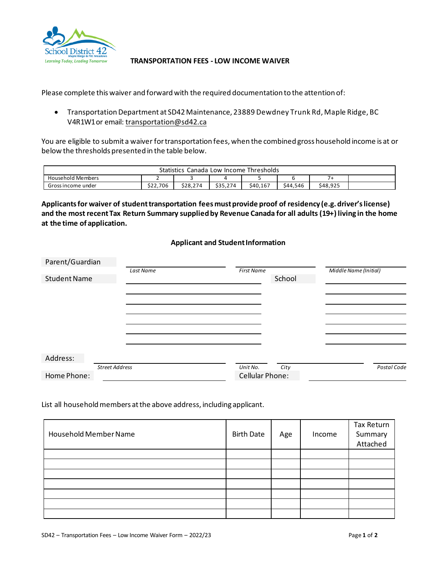

## **TRANSPORTATION FEES - LOW INCOME WAIVER**

Please complete this waiver and forward with the required documentation to the attention of:

• Transportation Department at SD42 Maintenance, 23889 Dewdney Trunk Rd, Maple Ridge, BC V4R 1W1or email: [transportation@sd42.ca](mailto:transportation@sd42.ca)

You are eligible to submit a waiver for transportation fees, when the combined gross household income is at or below the thresholds presented in the table below.

| <b>Statistics</b><br>Thresholds<br>Canada<br>Low Income |          |          |          |          |          |          |  |
|---------------------------------------------------------|----------|----------|----------|----------|----------|----------|--|
| <b>Household Members</b>                                |          |          |          |          |          |          |  |
| Gross income under                                      | \$22,706 | \$28,274 | \$35,274 | \$40,167 | \$44.546 | \$48,925 |  |

**Applicants for waiver of student transportation fees must provide proof of residency (e.g. driver's license) and the most recent Tax Return Summary supplied by Revenue Canada for all adults (19+) living in the home at the time of application.**

## **Applicant and Student Information**

| Parent/Guardian     |                       |                   |        |                       |
|---------------------|-----------------------|-------------------|--------|-----------------------|
|                     | Last Name             | <b>First Name</b> |        | Middle Name (Initial) |
| <b>Student Name</b> |                       |                   | School |                       |
|                     |                       |                   |        |                       |
|                     |                       |                   |        |                       |
|                     |                       |                   |        |                       |
|                     |                       |                   |        |                       |
|                     |                       |                   |        |                       |
|                     |                       |                   |        |                       |
|                     |                       |                   |        |                       |
|                     |                       |                   |        |                       |
| Address:            |                       |                   |        |                       |
|                     | <b>Street Address</b> | Unit No.          | City   | Postal Code           |
| Home Phone:         |                       | Cellular Phone:   |        |                       |

List all household members at the above address, including applicant.

| Household Member Name | <b>Birth Date</b> | Age | Income | Tax Return<br>Summary<br>Attached |
|-----------------------|-------------------|-----|--------|-----------------------------------|
|                       |                   |     |        |                                   |
|                       |                   |     |        |                                   |
|                       |                   |     |        |                                   |
|                       |                   |     |        |                                   |
|                       |                   |     |        |                                   |
|                       |                   |     |        |                                   |
|                       |                   |     |        |                                   |